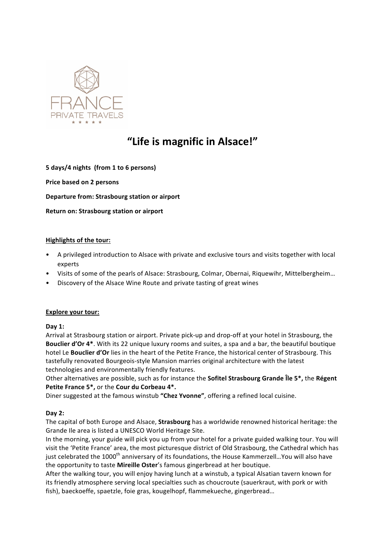

# "Life is magnific in Alsace!"

**5 days/4 nights (from 1 to 6 persons) Price based on 2 persons Departure from: Strasbourg station or airport Return on: Strasbourg station or airport**

# **Highlights of the tour:**

- A privileged introduction to Alsace with private and exclusive tours and visits together with local experts
- Visits of some of the pearls of Alsace: Strasbourg, Colmar, Obernai, Riquewihr, Mittelbergheim...
- Discovery of the Alsace Wine Route and private tasting of great wines

# **Explore your tour:**

# **Day 1:**

Arrival at Strasbourg station or airport. Private pick-up and drop-off at your hotel in Strasbourg, the **Bouclier d'Or 4\***. With its 22 unique luxury rooms and suites, a spa and a bar, the beautiful boutique hotel Le **Bouclier d'Or** lies in the heart of the Petite France, the historical center of Strasbourg. This tastefully renovated Bourgeois-style Mansion marries original architecture with the latest technologies and environmentally friendly features.

Other alternatives are possible, such as for instance the **Sofitel Strasbourg Grande** Île 5<sup>\*</sup>, the **Régent Petite France 5\*, or the Cour du Corbeau 4\*.** 

Diner suggested at the famous winstub "Chez Yvonne", offering a refined local cuisine.

# **Day 2:**

The capital of both Europe and Alsace, **Strasbourg** has a worldwide renowned historical heritage: the Grande Ile area is listed a UNESCO World Heritage Site.

In the morning, your guide will pick you up from your hotel for a private guided walking tour. You will visit the 'Petite France' area, the most picturesque district of Old Strasbourg, the Cathedral which has just celebrated the 1000<sup>th</sup> anniversary of its foundations, the House Kammerzell...You will also have the opportunity to taste Mireille Oster's famous gingerbread at her boutique.

After the walking tour, you will enjoy having lunch at a winstub, a typical Alsatian tavern known for its friendly atmosphere serving local specialties such as choucroute (sauerkraut, with pork or with fish), baeckoeffe, spaetzle, foie gras, kougelhopf, flammekueche, gingerbread...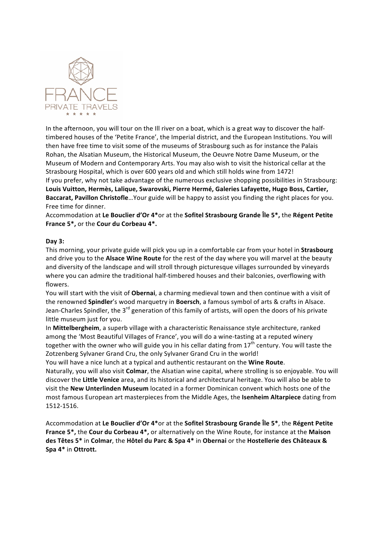

In the afternoon, you will tour on the Ill river on a boat, which is a great way to discover the halftimbered houses of the 'Petite France', the Imperial district, and the European Institutions. You will then have free time to visit some of the museums of Strasbourg such as for instance the Palais Rohan, the Alsatian Museum, the Historical Museum, the Oeuvre Notre Dame Museum, or the Museum of Modern and Contemporary Arts. You may also wish to visit the historical cellar at the Strasbourg Hospital, which is over 600 years old and which still holds wine from 1472! If you prefer, why not take advantage of the numerous exclusive shopping possibilities in Strasbourg: Louis Vuitton, Hermès, Lalique, Swarovski, Pierre Hermé, Galeries Lafayette, Hugo Boss, Cartier, **Baccarat, Pavillon Christofle**... Your guide will be happy to assist you finding the right places for you. Free time for dinner.

Accommodation at Le Bouclier d'Or 4\*or at the Sofitel Strasbourg Grande Île 5\*, the Régent Petite France 5<sup>\*</sup>, or the Cour du Corbeau 4<sup>\*</sup>.

### **Day 3:**

This morning, your private guide will pick you up in a comfortable car from your hotel in **Strasbourg** and drive you to the **Alsace Wine Route** for the rest of the day where you will marvel at the beauty and diversity of the landscape and will stroll through picturesque villages surrounded by vineyards where you can admire the traditional half-timbered houses and their balconies, overflowing with flowers. 

You will start with the visit of Obernai, a charming medieval town and then continue with a visit of the renowned **Spindler's** wood marquetry in **Boersch**, a famous symbol of arts & crafts in Alsace. Jean-Charles Spindler, the  $3^{rd}$  generation of this family of artists, will open the doors of his private little museum just for you.

In Mittelbergheim, a superb village with a characteristic Renaissance style architecture, ranked among the 'Most Beautiful Villages of France', you will do a wine-tasting at a reputed winery together with the owner who will guide you in his cellar dating from  $17<sup>th</sup>$  century. You will taste the Zotzenberg Sylvaner Grand Cru, the only Sylvaner Grand Cru in the world!

You will have a nice lunch at a typical and authentic restaurant on the **Wine Route**. Naturally, you will also visit **Colmar**, the Alsatian wine capital, where strolling is so enjoyable. You will discover the Little Venice area, and its historical and architectural heritage. You will also be able to visit the New Unterlinden Museum located in a former Dominican convent which hosts one of the most famous European art masterpieces from the Middle Ages, the **Isenheim Altarpiece** dating from

1512-1516.

Accommodation at Le Bouclier d'Or 4\*or at the Sofitel Strasbourg Grande Île 5<sup>\*</sup>, the Régent Petite France 5\*, the Cour du Corbeau 4\*, or alternatively on the Wine Route, for instance at the Maison des Têtes 5\* in Colmar, the Hôtel du Parc & Spa 4\* in Obernai or the Hostellerie des Châteaux & **Spa 4\*** in **Ottrott.**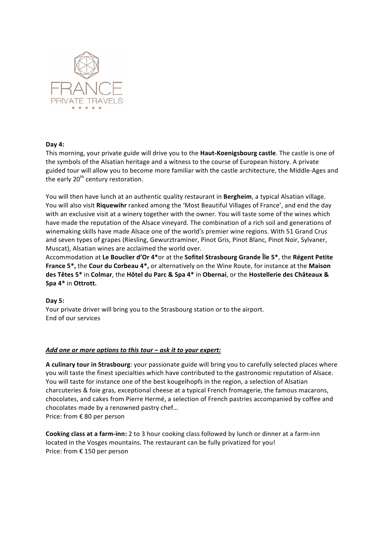

### **Day 4:**

This morning, your private guide will drive you to the **Haut-Koenigsbourg castle**. The castle is one of the symbols of the Alsatian heritage and a witness to the course of European history. A private guided tour will allow you to become more familiar with the castle architecture, the Middle-Ages and the early  $20<sup>th</sup>$  century restoration.

You will then have lunch at an authentic quality restaurant in Bergheim, a typical Alsatian village. You will also visit Riquewihr ranked among the 'Most Beautiful Villages of France', and end the day with an exclusive visit at a winery together with the owner. You will taste some of the wines which have made the reputation of the Alsace vineyard. The combination of a rich soil and generations of winemaking skills have made Alsace one of the world's premier wine regions. With 51 Grand Crus and seven types of grapes (Riesling, Gewurztraminer, Pinot Gris, Pinot Blanc, Pinot Noir, Sylvaner, Muscat), Alsatian wines are acclaimed the world over.

Accommodation at Le Bouclier d'Or 4\*or at the Sofitel Strasbourg Grande Île 5<sup>\*</sup>, the Régent Petite **France 5\*, the Cour du Corbeau 4\*, or alternatively on the Wine Route, for instance at the Maison** des Têtes 5\* in Colmar, the Hôtel du Parc & Spa 4\* in Obernai, or the Hostellerie des Châteaux & **Spa 4\*** in **Ottrott.**

### **Day 5:**

Your private driver will bring you to the Strasbourg station or to the airport. End of our services

# Add one or more options to this tour – ask it to your expert:

A culinary tour in Strasbourg: your passionate guide will bring you to carefully selected places where you will taste the finest specialties which have contributed to the gastronomic reputation of Alsace. You will taste for instance one of the best kougelhopfs in the region, a selection of Alsatian charcuteries & foie gras, exceptional cheese at a typical French fromagerie, the famous macarons, chocolates, and cakes from Pierre Hermé, a selection of French pastries accompanied by coffee and chocolates made by a renowned pastry chef...

Price: from € 80 per person

**Cooking class at a farm-inn:** 2 to 3 hour cooking class followed by lunch or dinner at a farm-inn located in the Vosges mountains. The restaurant can be fully privatized for you! Price: from € 150 per person